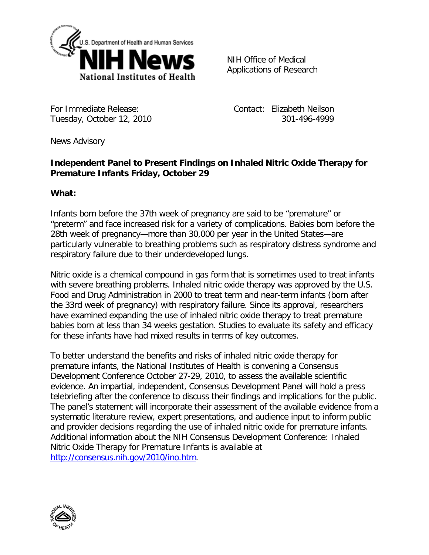

NIH Office of Medical Applications of Research

For Immediate Release: Tuesday, October 12, 2010  Contact: Elizabeth Neilson 301-496-4999

News Advisory

# **Independent Panel to Present Findings on Inhaled Nitric Oxide Therapy for Premature Infants Friday, October 29**

## **What:**

Infants born before the 37th week of pregnancy are said to be "premature" or "preterm" and face increased risk for a variety of complications. Babies born before the 28th week of pregnancy—more than 30,000 per year in the United States—are particularly vulnerable to breathing problems such as respiratory distress syndrome and respiratory failure due to their underdeveloped lungs.

Nitric oxide is a chemical compound in gas form that is sometimes used to treat infants with severe breathing problems. Inhaled nitric oxide therapy was approved by the U.S. Food and Drug Administration in 2000 to treat term and near-term infants (born after the 33rd week of pregnancy) with respiratory failure. Since its approval, researchers have examined expanding the use of inhaled nitric oxide therapy to treat premature babies born at less than 34 weeks gestation. Studies to evaluate its safety and efficacy for these infants have had mixed results in terms of key outcomes.

To better understand the benefits and risks of inhaled nitric oxide therapy for premature infants, the National Institutes of Health is convening a Consensus Development Conference October 27-29, 2010, to assess the available scientific evidence. An impartial, independent, Consensus Development Panel will hold a press telebriefing after the conference to discuss their findings and implications for the public. The panel's statement will incorporate their assessment of the available evidence from a systematic literature review, expert presentations, and audience input to inform public and provider decisions regarding the use of inhaled nitric oxide for premature infants. Additional information about the NIH Consensus Development Conference: Inhaled Nitric Oxide Therapy for Premature Infants is available at [http://consensus.nih.gov/2010/ino.htm.](http://consensus.nih.gov/2010/ino.htm)

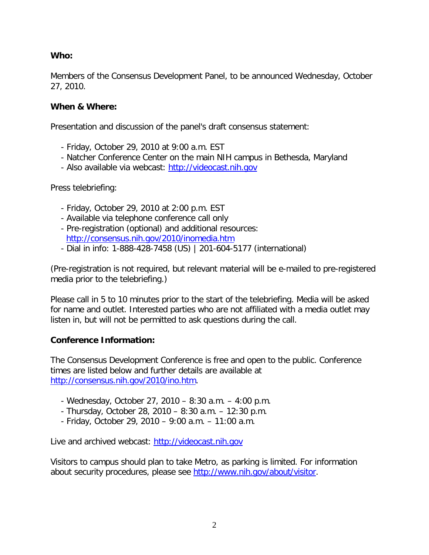## **Who:**

Members of the Consensus Development Panel, to be announced Wednesday, October 27, 2010.

### **When & Where:**

Presentation and discussion of the panel's draft consensus statement:

- Friday, October 29, 2010 at 9:00 a.m. EST
- Natcher Conference Center on the main NIH campus in Bethesda, Maryland
- Also available via webcast: [http://videocast.nih.gov](http://videocast.nih.gov/)

Press telebriefing:

- Friday, October 29, 2010 at 2:00 p.m. EST
- Available via telephone conference call only
- Pre-registration (optional) and additional resources: <http://consensus.nih.gov/2010/inomedia.htm>
- Dial in info: 1-888-428-7458 (US) | 201-604-5177 (international)

(Pre-registration is not required, but relevant material will be e-mailed to pre-registered media prior to the telebriefing.)

Please call in 5 to 10 minutes prior to the start of the telebriefing. Media will be asked for name and outlet. Interested parties who are not affiliated with a media outlet may listen in, but will not be permitted to ask questions during the call.

## **Conference Information:**

The Consensus Development Conference is free and open to the public. Conference times are listed below and further details are available at [http://consensus.nih.gov/2010/ino.htm.](http://consensus.nih.gov/2010/ino.htm)

- Wednesday, October 27, 2010 8:30 a.m. 4:00 p.m.
- Thursday, October 28, 2010 8:30 a.m. 12:30 p.m.
- Friday, October 29, 2010 9:00 a.m. 11:00 a.m.

Live and archived webcast: [http://videocast.nih.gov](http://videocast.nih.gov/)

Visitors to campus should plan to take Metro, as parking is limited. For information about security procedures, please see [http://www.nih.gov/about/visitor.](http://www.nih.gov/about/visitor)